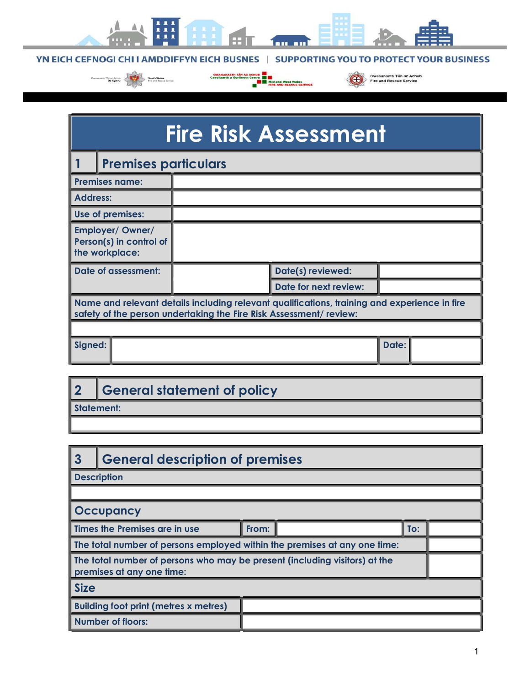

YN EICH CEFNOGI CHI I AMDDIFFYN EICH BUSNES | SUPPORTING YOU TO PROTECT YOUR BUSINESS

Gwasanaeth Tân ac Achub

a.



œ

| <b>Fire Risk Assessment</b>                                                                                                                                       |                       |       |  |
|-------------------------------------------------------------------------------------------------------------------------------------------------------------------|-----------------------|-------|--|
| <b>Premises particulars</b>                                                                                                                                       |                       |       |  |
| <b>Premises name:</b>                                                                                                                                             |                       |       |  |
| <b>Address:</b>                                                                                                                                                   |                       |       |  |
| Use of premises:                                                                                                                                                  |                       |       |  |
| <b>Employer/ Owner/</b><br>Person(s) in control of<br>the workplace:                                                                                              |                       |       |  |
| Date of assessment:                                                                                                                                               | Date(s) reviewed:     |       |  |
|                                                                                                                                                                   | Date for next review: |       |  |
| Name and relevant details including relevant qualifications, training and experience in fire<br>safety of the person undertaking the Fire Risk Assessment/review: |                       |       |  |
|                                                                                                                                                                   |                       |       |  |
| Signed:                                                                                                                                                           |                       | Date: |  |

| ∩          | General statement of policy |  |
|------------|-----------------------------|--|
| Statement: |                             |  |

| 3                                                                                                       | <b>General description of premises</b>          |  |  |  |
|---------------------------------------------------------------------------------------------------------|-------------------------------------------------|--|--|--|
| Description                                                                                             |                                                 |  |  |  |
|                                                                                                         |                                                 |  |  |  |
| Occupancy                                                                                               |                                                 |  |  |  |
|                                                                                                         | I Times the Premises are in use<br>From:<br>To: |  |  |  |
| The total number of persons employed within the premises at any one time:                               |                                                 |  |  |  |
| The total number of persons who may be present (including visitors) at the<br>premises at any one time: |                                                 |  |  |  |
| <b>Size</b>                                                                                             |                                                 |  |  |  |
|                                                                                                         | <b>Building foot print (metres x metres)</b>    |  |  |  |
|                                                                                                         | Number of floors:                               |  |  |  |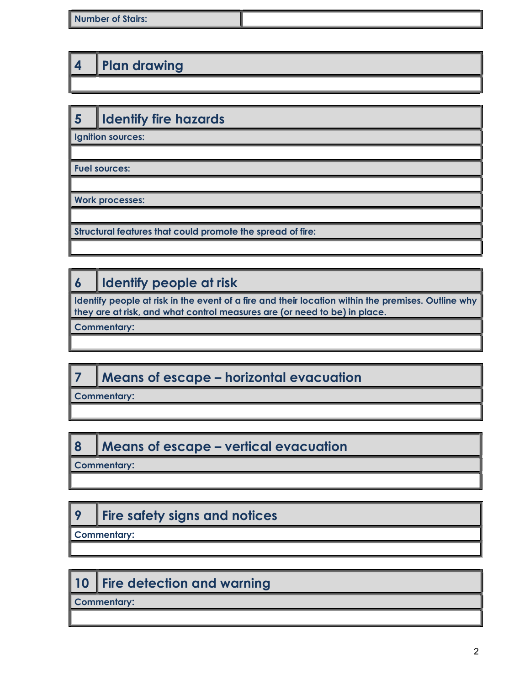| <b>Number of Stairs:</b> |  |
|--------------------------|--|
|                          |  |

### 4 | Plan drawing

# 5 | Identify fire hazards

Ignition sources:

Fuel sources:

Work processes:

Structural features that could promote the spread of fire:

## 6 | Identify people at risk

Identify people at risk in the event of a fire and their location within the premises. Outline why they are at risk, and what control measures are (or need to be) in place.

Commentary:

## 7 Means of escape – horizontal evacuation

Commentary:

#### 8 Means of escape – vertical evacuation

Commentary:

# 9 | Fire safety signs and notices

Commentary:

## 10 Fire detection and warning

Commentary: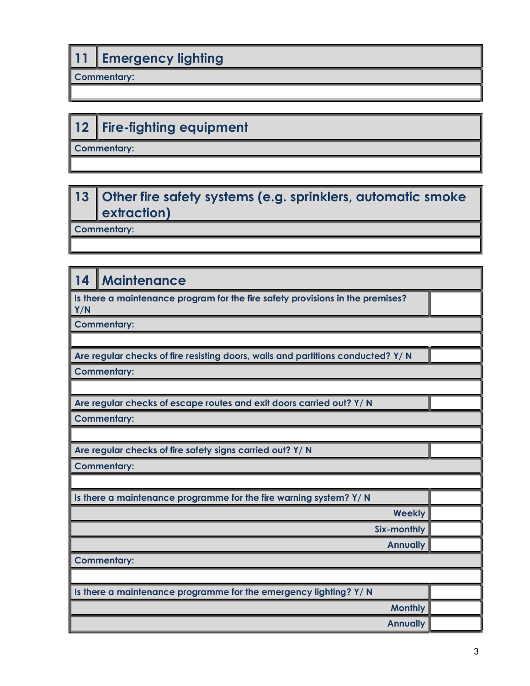### 11 **Emergency lighting**

Commentary:

# 12 Fire-fighting equipment

Commentary:

#### 13 Other fire safety systems (e.g. sprinklers, automatic smoke extraction)

Commentary:

#### 14 | Maintenance

Is there a maintenance program for the fire safety provisions in the premises? Y/N

Commentary:

Are regular checks of fire resisting doors, walls and partitions conducted? Y/ N

Commentary:

Are regular checks of escape routes and exit doors carried out? Y/ N

Commentary:

Are regular checks of fire safety signs carried out? Y/ N

Commentary:

Is there a maintenance programme for the fire warning system? Y/ N

Commentary:

| Is there a maintenance programme for the emergency lighting? Y/ N |  |
|-------------------------------------------------------------------|--|
| <b>Monthly</b>                                                    |  |
| Annually                                                          |  |

Weekly

Six-monthly **Annually**